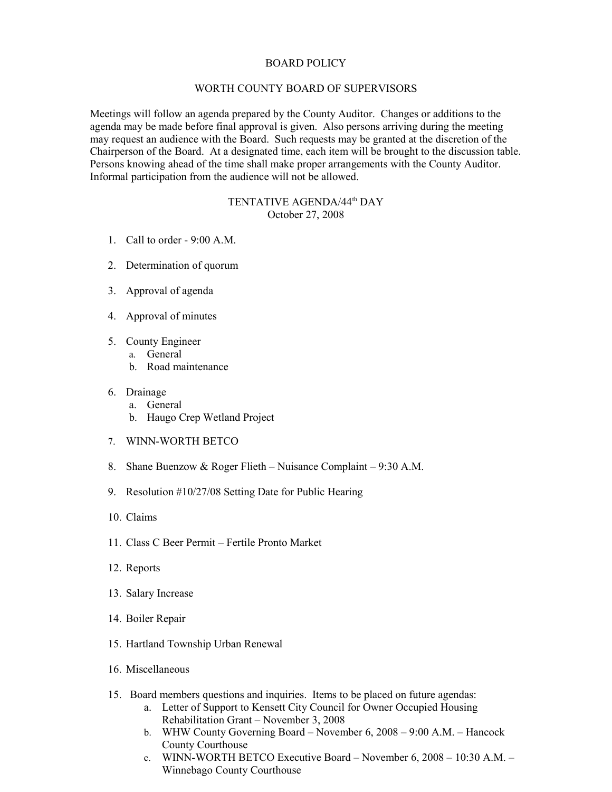## BOARD POLICY

## WORTH COUNTY BOARD OF SUPERVISORS

Meetings will follow an agenda prepared by the County Auditor. Changes or additions to the agenda may be made before final approval is given. Also persons arriving during the meeting may request an audience with the Board. Such requests may be granted at the discretion of the Chairperson of the Board. At a designated time, each item will be brought to the discussion table. Persons knowing ahead of the time shall make proper arrangements with the County Auditor. Informal participation from the audience will not be allowed.

## TENTATIVE AGENDA/44th DAY October 27, 2008

- 1. Call to order 9:00 A.M.
- 2. Determination of quorum
- 3. Approval of agenda
- 4. Approval of minutes
- 5. County Engineer
	- a. General
	- b. Road maintenance
- 6. Drainage
	- a. General
	- b. Haugo Crep Wetland Project
- 7. WINN-WORTH BETCO
- 8. Shane Buenzow & Roger Flieth Nuisance Complaint 9:30 A.M.
- 9. Resolution #10/27/08 Setting Date for Public Hearing
- 10. Claims
- 11. Class C Beer Permit Fertile Pronto Market
- 12. Reports
- 13. Salary Increase
- 14. Boiler Repair
- 15. Hartland Township Urban Renewal
- 16. Miscellaneous
- 15. Board members questions and inquiries. Items to be placed on future agendas:
	- a. Letter of Support to Kensett City Council for Owner Occupied Housing Rehabilitation Grant – November 3, 2008
	- b. WHW County Governing Board November 6, 2008 9:00 A.M. Hancock County Courthouse
	- c. WINN-WORTH BETCO Executive Board November 6, 2008 10:30 A.M. Winnebago County Courthouse